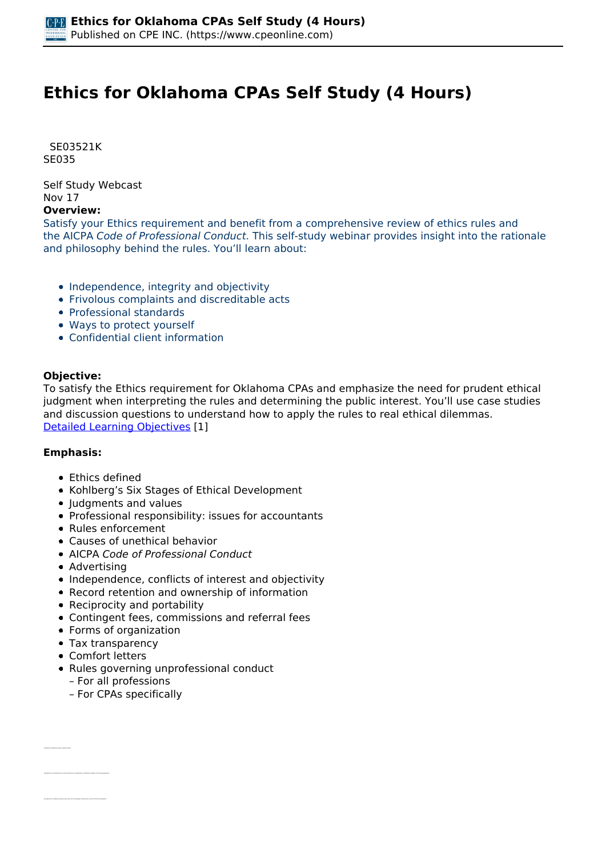# **Ethics for Oklahoma CPAs Self Study (4 Hours)**

 *SE03521K SE035* 

*Self Study Webcast Nov 17* 

### **Overview:**

*Satisfy your Ethics requirement and benefit from a comprehensive review of ethics rules and the AICPA Code of Professional Conduct. This self-study webinar provides insight into the rationale and philosophy behind the rules. You'll learn about:*

- *Independence, integrity and objectivity*
- *Frivolous complaints and discreditable acts*
- *Professional standards*
- *Ways to protect yourself*
- *Confidential client information*

#### **Objective:**

*To satisfy the Ethics requirement for Oklahoma CPAs and emphasize the need for prudent ethical judgment when interpreting the rules and determining the public interest. You'll use case studies and discussion questions to understand how to apply the rules to real ethical dilemmas. [Detailed Learning Objectives](https://www.cpeonline.com/JavaScript:showObjectivesPopup();) [1]*

#### **Emphasis:**

- *Ethics defined*
- *Kohlberg's Six Stages of Ethical Development*
- *Judgments and values*
- *Professional responsibility: issues for accountants*
- *Rules enforcement*
- *Causes of unethical behavior*
- *AICPA Code of Professional Conduct*
- *Advertising*
- *Independence, conflicts of interest and objectivity*
- *Record retention and ownership of information*
- *Reciprocity and portability*
- *Contingent fees, commissions and referral fees*
- *Forms of organization*
- *Tax transparency*
- *Comfort letters*

*• Identify the different ways to define ethics*

- *Rules governing unprofessional conduct*
	- *For all professions*
	- *For CPAs specifically*